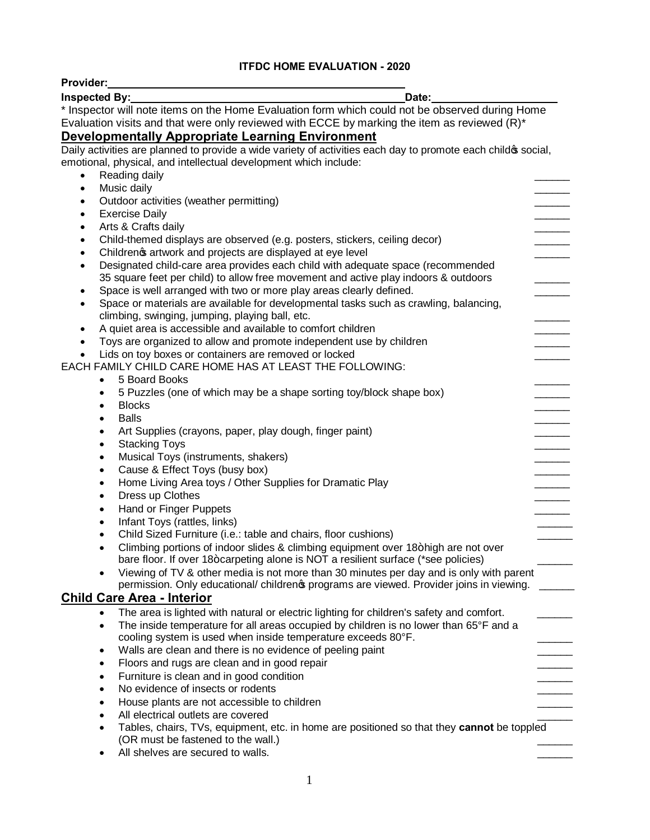## **ITFDC HOME EVALUATION - 2020**

| Provider:<br><u> 1989 - Johann John Stone, Amerikaansk politiker (</u>                                                                                     |  |
|------------------------------------------------------------------------------------------------------------------------------------------------------------|--|
| Inspected By:<br>Date:                                                                                                                                     |  |
| * Inspector will note items on the Home Evaluation form which could not be observed during Home                                                            |  |
| Evaluation visits and that were only reviewed with ECCE by marking the item as reviewed $(R)^*$                                                            |  |
| <b>Developmentally Appropriate Learning Environment</b>                                                                                                    |  |
| Daily activities are planned to provide a wide variety of activities each day to promote each child os social,                                             |  |
| emotional, physical, and intellectual development which include:                                                                                           |  |
| Reading daily<br>$\bullet$                                                                                                                                 |  |
| Music daily<br>$\bullet$                                                                                                                                   |  |
| Outdoor activities (weather permitting)<br>$\bullet$                                                                                                       |  |
| <b>Exercise Daily</b><br>$\bullet$                                                                                                                         |  |
| Arts & Crafts daily<br>$\bullet$                                                                                                                           |  |
| Child-themed displays are observed (e.g. posters, stickers, ceiling decor)<br>٠                                                                            |  |
| Childrenos artwork and projects are displayed at eye level<br>٠                                                                                            |  |
| Designated child-care area provides each child with adequate space (recommended<br>$\bullet$                                                               |  |
| 35 square feet per child) to allow free movement and active play indoors & outdoors<br>Space is well arranged with two or more play areas clearly defined. |  |
| ٠<br>Space or materials are available for developmental tasks such as crawling, balancing,                                                                 |  |
| climbing, swinging, jumping, playing ball, etc.                                                                                                            |  |
| A quiet area is accessible and available to comfort children<br>٠                                                                                          |  |
| Toys are organized to allow and promote independent use by children<br>$\bullet$                                                                           |  |
| Lids on toy boxes or containers are removed or locked                                                                                                      |  |
| EACH FAMILY CHILD CARE HOME HAS AT LEAST THE FOLLOWING:                                                                                                    |  |
| 5 Board Books<br>$\bullet$                                                                                                                                 |  |
| 5 Puzzles (one of which may be a shape sorting toy/block shape box)<br>٠                                                                                   |  |
| <b>Blocks</b><br>$\bullet$                                                                                                                                 |  |
| <b>Balls</b><br>$\bullet$                                                                                                                                  |  |
| Art Supplies (crayons, paper, play dough, finger paint)<br>$\bullet$                                                                                       |  |
| <b>Stacking Toys</b><br>$\bullet$                                                                                                                          |  |
| Musical Toys (instruments, shakers)<br>$\bullet$                                                                                                           |  |
| Cause & Effect Toys (busy box)<br>$\bullet$                                                                                                                |  |
| Home Living Area toys / Other Supplies for Dramatic Play<br>$\bullet$                                                                                      |  |
| Dress up Clothes<br>$\bullet$                                                                                                                              |  |
| Hand or Finger Puppets<br>$\bullet$<br>Infant Toys (rattles, links)                                                                                        |  |
| $\bullet$<br>Child Sized Furniture (i.e.: table and chairs, floor cushions)<br>$\bullet$                                                                   |  |
| Climbing portions of indoor slides & climbing equipment over 18+high are not over                                                                          |  |
| bare floor. If over 18+carpeting alone is NOT a resilient surface (*see policies)                                                                          |  |
| Viewing of TV & other media is not more than 30 minutes per day and is only with parent<br>$\bullet$                                                       |  |
| permission. Only educational/ childreno programs are viewed. Provider joins in viewing.                                                                    |  |
| <b>Child Care Area - Interior</b>                                                                                                                          |  |
| The area is lighted with natural or electric lighting for children's safety and comfort.<br>$\bullet$                                                      |  |
| The inside temperature for all areas occupied by children is no lower than 65°F and a<br>$\bullet$                                                         |  |
| cooling system is used when inside temperature exceeds 80°F.                                                                                               |  |
| Walls are clean and there is no evidence of peeling paint<br>$\bullet$                                                                                     |  |
| Floors and rugs are clean and in good repair<br>$\bullet$                                                                                                  |  |
| Furniture is clean and in good condition<br>$\bullet$                                                                                                      |  |
| No evidence of insects or rodents<br>$\bullet$                                                                                                             |  |
| House plants are not accessible to children<br>$\bullet$                                                                                                   |  |
| All electrical outlets are covered<br>$\bullet$                                                                                                            |  |
| Tables, chairs, TVs, equipment, etc. in home are positioned so that they cannot be toppled<br>$\bullet$<br>(OR must be fastened to the wall.)              |  |
| All shelves are secured to walls.                                                                                                                          |  |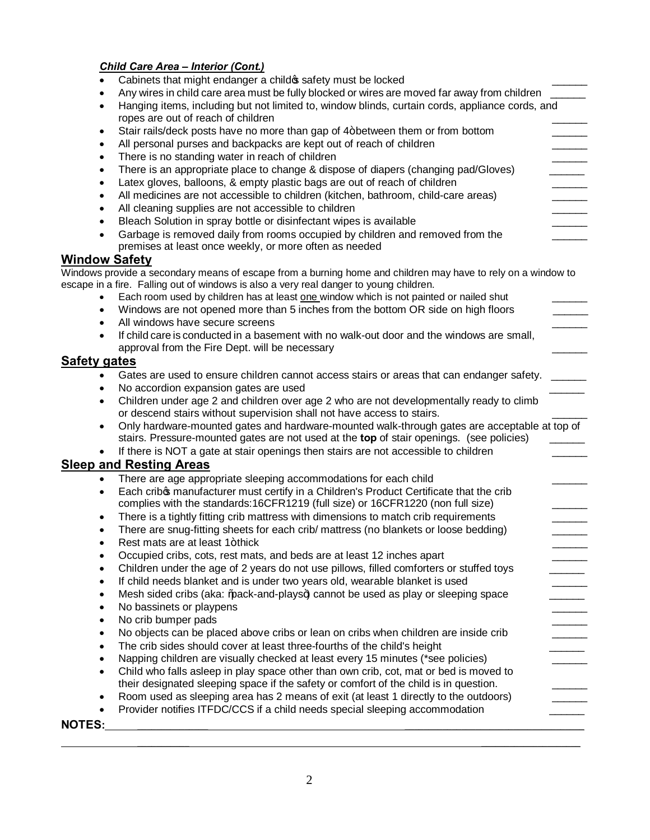## *Child Care Area – Interior (Cont.)*

| $\bullet$              | Cabinets that might endanger a child of safety must be locked                                                                           |
|------------------------|-----------------------------------------------------------------------------------------------------------------------------------------|
|                        | Any wires in child care area must be fully blocked or wires are moved far away from children                                            |
| $\bullet$              | Hanging items, including but not limited to, window blinds, curtain cords, appliance cords, and                                         |
|                        | ropes are out of reach of children                                                                                                      |
| ٠                      | Stair rails/deck posts have no more than gap of 4+between them or from bottom                                                           |
| $\bullet$              | All personal purses and backpacks are kept out of reach of children                                                                     |
| ٠                      | There is no standing water in reach of children                                                                                         |
| $\bullet$              | There is an appropriate place to change & dispose of diapers (changing pad/Gloves)                                                      |
| $\bullet$              | Latex gloves, balloons, & empty plastic bags are out of reach of children                                                               |
| $\bullet$              | All medicines are not accessible to children (kitchen, bathroom, child-care areas)                                                      |
| $\bullet$              | All cleaning supplies are not accessible to children                                                                                    |
| $\bullet$              | Bleach Solution in spray bottle or disinfectant wipes is available                                                                      |
| $\bullet$              | Garbage is removed daily from rooms occupied by children and removed from the<br>premises at least once weekly, or more often as needed |
| <b>Window Safety</b>   |                                                                                                                                         |
|                        | Windows provide a secondary means of escape from a burning home and children may have to rely on a window to                            |
|                        | escape in a fire. Falling out of windows is also a very real danger to young children.                                                  |
|                        | Each room used by children has at least one window which is not painted or nailed shut                                                  |
| $\bullet$              | Windows are not opened more than 5 inches from the bottom OR side on high floors                                                        |
| $\bullet$              | All windows have secure screens                                                                                                         |
|                        | If child care is conducted in a basement with no walk-out door and the windows are small,                                               |
|                        | approval from the Fire Dept. will be necessary                                                                                          |
| <b>Safety gates</b>    |                                                                                                                                         |
| $\bullet$              | Gates are used to ensure children cannot access stairs or areas that can endanger safety.                                               |
| $\bullet$              | No accordion expansion gates are used                                                                                                   |
| $\bullet$              | Children under age 2 and children over age 2 who are not developmentally ready to climb                                                 |
|                        | or descend stairs without supervision shall not have access to stairs.                                                                  |
| $\bullet$              | Only hardware-mounted gates and hardware-mounted walk-through gates are acceptable at top of                                            |
|                        | stairs. Pressure-mounted gates are not used at the top of stair openings. (see policies)                                                |
|                        | If there is NOT a gate at stair openings then stairs are not accessible to children                                                     |
|                        | <b>Sleep and Resting Areas</b>                                                                                                          |
| $\bullet$              | There are age appropriate sleeping accommodations for each child                                                                        |
| $\bullet$              | Each cribos manufacturer must certify in a Children's Product Certificate that the crib                                                 |
|                        | complies with the standards:16CFR1219 (full size) or 16CFR1220 (non full size)                                                          |
| $\bullet$              | There is a tightly fitting crib mattress with dimensions to match crib requirements                                                     |
| $\bullet$<br>$\bullet$ | There are snug-fitting sheets for each crib/ mattress (no blankets or loose bedding)<br>Rest mats are at least 1+thick                  |
| $\bullet$              | Occupied cribs, cots, rest mats, and beds are at least 12 inches apart                                                                  |
| $\bullet$              | Children under the age of 2 years do not use pillows, filled comforters or stuffed toys                                                 |
| $\bullet$              | If child needs blanket and is under two years old, wearable blanket is used                                                             |
| $\bullet$              | Mesh sided cribs (aka: %) ack-and-plays+) cannot be used as play or sleeping space                                                      |
| ٠                      | No bassinets or playpens                                                                                                                |
| $\bullet$              | No crib bumper pads                                                                                                                     |
| $\bullet$              | No objects can be placed above cribs or lean on cribs when children are inside crib                                                     |
| $\bullet$              | The crib sides should cover at least three-fourths of the child's height                                                                |
| $\bullet$              | Napping children are visually checked at least every 15 minutes (*see policies)                                                         |
| $\bullet$              | Child who falls asleep in play space other than own crib, cot, mat or bed is moved to                                                   |
|                        | their designated sleeping space if the safety or comfort of the child is in question.                                                   |
| $\bullet$              | Room used as sleeping area has 2 means of exit (at least 1 directly to the outdoors)                                                    |
| $\bullet$              | Provider notifies ITFDC/CCS if a child needs special sleeping accommodation                                                             |
| <b>NOTES:</b>          |                                                                                                                                         |
|                        |                                                                                                                                         |

**\_\_\_\_\_\_\_\_\_\_\_ \_\_\_\_\_\_\_\_\_\_\_\_\_\_\_\_\_\_\_\_\_**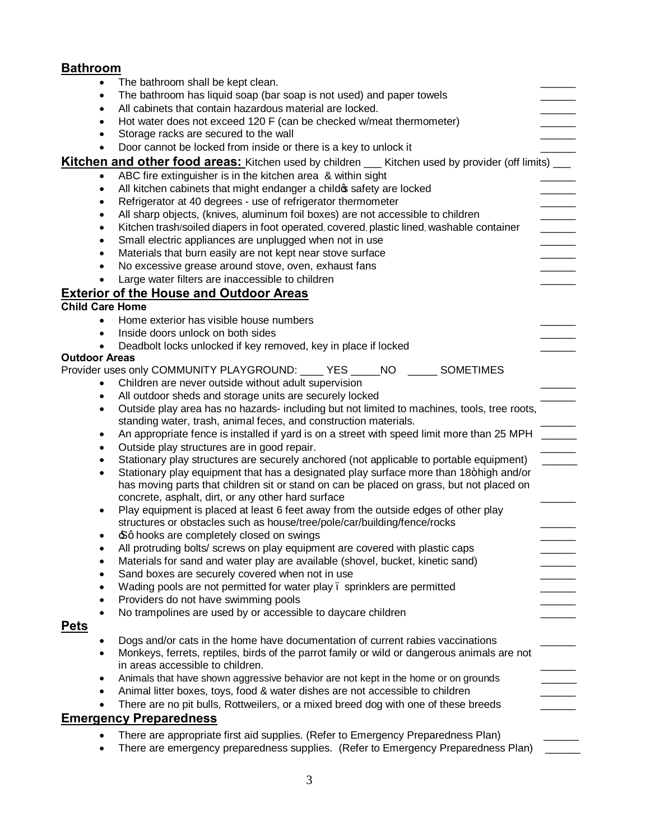# **Bathroom**

| The bathroom shall be kept clean.<br>٠                                                                                                                                                         |                                          |
|------------------------------------------------------------------------------------------------------------------------------------------------------------------------------------------------|------------------------------------------|
| The bathroom has liquid soap (bar soap is not used) and paper towels<br>٠                                                                                                                      |                                          |
| All cabinets that contain hazardous material are locked.<br>$\bullet$                                                                                                                          |                                          |
| Hot water does not exceed 120 F (can be checked w/meat thermometer)                                                                                                                            |                                          |
| Storage racks are secured to the wall                                                                                                                                                          |                                          |
| Door cannot be locked from inside or there is a key to unlock it<br>$\bullet$                                                                                                                  |                                          |
| <b>Kitchen and other food areas:</b> Kitchen used by children __ Kitchen used by provider (off limits) __                                                                                      |                                          |
| ABC fire extinguisher is in the kitchen area & within sight<br>$\bullet$                                                                                                                       |                                          |
| All kitchen cabinets that might endanger a child of safety are locked<br>$\bullet$                                                                                                             |                                          |
| Refrigerator at 40 degrees - use of refrigerator thermometer<br>$\bullet$                                                                                                                      |                                          |
| All sharp objects, (knives, aluminum foil boxes) are not accessible to children<br>$\bullet$                                                                                                   |                                          |
| Kitchen trash/soiled diapers in foot operated, covered, plastic lined, washable container<br>$\bullet$                                                                                         | $\frac{1}{2}$ . The set of $\frac{1}{2}$ |
| Small electric appliances are unplugged when not in use<br>$\bullet$                                                                                                                           |                                          |
| Materials that burn easily are not kept near stove surface<br>$\bullet$                                                                                                                        |                                          |
| No excessive grease around stove, oven, exhaust fans<br>$\bullet$                                                                                                                              |                                          |
| Large water filters are inaccessible to children<br>$\bullet$                                                                                                                                  |                                          |
| <b>Exterior of the House and Outdoor Areas</b>                                                                                                                                                 |                                          |
| <b>Child Care Home</b>                                                                                                                                                                         |                                          |
| Home exterior has visible house numbers<br>$\bullet$                                                                                                                                           |                                          |
| Inside doors unlock on both sides<br>$\bullet$                                                                                                                                                 |                                          |
| Deadbolt locks unlocked if key removed, key in place if locked                                                                                                                                 |                                          |
| <b>Outdoor Areas</b>                                                                                                                                                                           |                                          |
| Provider uses only COMMUNITY PLAYGROUND: ____ YES _____ NO _____ SOMETIMES                                                                                                                     |                                          |
| Children are never outside without adult supervision<br>$\bullet$                                                                                                                              |                                          |
| All outdoor sheds and storage units are securely locked<br>٠                                                                                                                                   |                                          |
| Outside play area has no hazards- including but not limited to machines, tools, tree roots,<br>$\bullet$                                                                                       |                                          |
| standing water, trash, animal feces, and construction materials.                                                                                                                               |                                          |
| An appropriate fence is installed if yard is on a street with speed limit more than 25 MPH ______<br>$\bullet$                                                                                 |                                          |
| Outside play structures are in good repair.<br>$\bullet$                                                                                                                                       |                                          |
| Stationary play structures are securely anchored (not applicable to portable equipment)<br>$\bullet$                                                                                           |                                          |
| Stationary play equipment that has a designated play surface more than 18+high and/or<br>$\bullet$<br>has moving parts that children sit or stand on can be placed on grass, but not placed on |                                          |
| concrete, asphalt, dirt, or any other hard surface                                                                                                                                             |                                          |
| Play equipment is placed at least 6 feet away from the outside edges of other play<br>٠                                                                                                        |                                          |
| structures or obstacles such as house/tree/pole/car/building/fence/rocks                                                                                                                       |                                          |
| £q hooks are completely closed on swings                                                                                                                                                       |                                          |
| All protruding bolts/ screws on play equipment are covered with plastic caps                                                                                                                   |                                          |
| Materials for sand and water play are available (shovel, bucket, kinetic sand)                                                                                                                 |                                          |
| Sand boxes are securely covered when not in use                                                                                                                                                |                                          |
| Wading pools are not permitted for water play . sprinklers are permitted<br>٠                                                                                                                  |                                          |
| Providers do not have swimming pools<br>٠                                                                                                                                                      |                                          |
| No trampolines are used by or accessible to daycare children<br>$\bullet$                                                                                                                      |                                          |
| <u>Pets</u>                                                                                                                                                                                    |                                          |
| Dogs and/or cats in the home have documentation of current rabies vaccinations                                                                                                                 |                                          |
| Monkeys, ferrets, reptiles, birds of the parrot family or wild or dangerous animals are not<br>$\bullet$                                                                                       |                                          |
| in areas accessible to children.                                                                                                                                                               |                                          |
| Animals that have shown aggressive behavior are not kept in the home or on grounds<br>$\bullet$                                                                                                |                                          |
| Animal litter boxes, toys, food & water dishes are not accessible to children<br>$\bullet$                                                                                                     |                                          |
| There are no pit bulls, Rottweilers, or a mixed breed dog with one of these breeds<br>$\bullet$                                                                                                |                                          |
| <b>Emergency Preparedness</b>                                                                                                                                                                  |                                          |
| There are appropriate first aid supplies. (Refer to Emergency Preparedness Plan)<br>$\bullet$                                                                                                  |                                          |

• There are emergency preparedness supplies. (Refer to Emergency Preparedness Plan) \_\_\_\_\_\_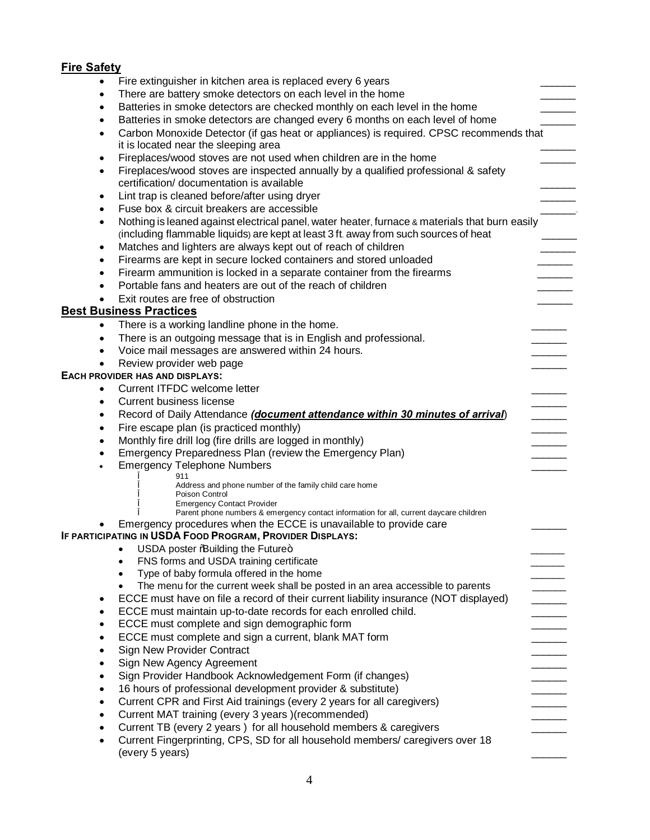# **Fire Safety**

| $\bullet$ | Fire extinguisher in kitchen area is replaced every 6 years                                                                                                                            |
|-----------|----------------------------------------------------------------------------------------------------------------------------------------------------------------------------------------|
| $\bullet$ | There are battery smoke detectors on each level in the home                                                                                                                            |
| $\bullet$ | Batteries in smoke detectors are checked monthly on each level in the home                                                                                                             |
| ٠         | Batteries in smoke detectors are changed every 6 months on each level of home                                                                                                          |
| $\bullet$ | Carbon Monoxide Detector (if gas heat or appliances) is required. CPSC recommends that<br>it is located near the sleeping area                                                         |
| $\bullet$ | Fireplaces/wood stoves are not used when children are in the home                                                                                                                      |
| $\bullet$ | Fireplaces/wood stoves are inspected annually by a qualified professional & safety<br>certification/ documentation is available                                                        |
| $\bullet$ | Lint trap is cleaned before/after using dryer                                                                                                                                          |
| $\bullet$ | Fuse box & circuit breakers are accessible                                                                                                                                             |
| $\bullet$ | Nothing is leaned against electrical panel, water heater, furnace & materials that burn easily<br>(including flammable liquids) are kept at least 3 ft. away from such sources of heat |
| $\bullet$ | Matches and lighters are always kept out of reach of children                                                                                                                          |
| $\bullet$ | Firearms are kept in secure locked containers and stored unloaded                                                                                                                      |
| ٠         | Firearm ammunition is locked in a separate container from the firearms                                                                                                                 |
| $\bullet$ | Portable fans and heaters are out of the reach of children                                                                                                                             |
| $\bullet$ | Exit routes are free of obstruction                                                                                                                                                    |
|           | <b>Best Business Practices</b>                                                                                                                                                         |
| $\bullet$ | There is a working landline phone in the home.                                                                                                                                         |
| ٠         | There is an outgoing message that is in English and professional.                                                                                                                      |
| $\bullet$ | Voice mail messages are answered within 24 hours.                                                                                                                                      |
| $\bullet$ | Review provider web page                                                                                                                                                               |
|           | EACH PROVIDER HAS AND DISPLAYS:                                                                                                                                                        |
| $\bullet$ | Current ITFDC welcome letter                                                                                                                                                           |
| $\bullet$ | <b>Current business license</b>                                                                                                                                                        |
| ٠         | Record of Daily Attendance (document attendance within 30 minutes of arrival)                                                                                                          |
| $\bullet$ | Fire escape plan (is practiced monthly)                                                                                                                                                |
| $\bullet$ | Monthly fire drill log (fire drills are logged in monthly)                                                                                                                             |
| $\bullet$ | Emergency Preparedness Plan (review the Emergency Plan)                                                                                                                                |
| ٠         | <b>Emergency Telephone Numbers</b><br>911                                                                                                                                              |
|           | Address and phone number of the family child care home<br>Poison Control<br><b>Emergency Contact Provider</b>                                                                          |
|           | Parent phone numbers & emergency contact information for all, current daycare children                                                                                                 |
|           | Emergency procedures when the ECCE is unavailable to provide care                                                                                                                      |
|           | IF PARTICIPATING IN USDA FOOD PROGRAM, PROVIDER DISPLAYS:                                                                                                                              |
|           | USDA poster % Building the Future+                                                                                                                                                     |
|           | FNS forms and USDA training certificate                                                                                                                                                |
|           | Type of baby formula offered in the home                                                                                                                                               |
|           | The menu for the current week shall be posted in an area accessible to parents                                                                                                         |
| ٠         | ECCE must have on file a record of their current liability insurance (NOT displayed)                                                                                                   |
| $\bullet$ | ECCE must maintain up-to-date records for each enrolled child.                                                                                                                         |
| $\bullet$ | ECCE must complete and sign demographic form                                                                                                                                           |
|           | ECCE must complete and sign a current, blank MAT form                                                                                                                                  |
| $\bullet$ | <b>Sign New Provider Contract</b>                                                                                                                                                      |
| $\bullet$ | Sign New Agency Agreement                                                                                                                                                              |
|           | Sign Provider Handbook Acknowledgement Form (if changes)                                                                                                                               |
| $\bullet$ | 16 hours of professional development provider & substitute)                                                                                                                            |
| $\bullet$ | Current CPR and First Aid trainings (every 2 years for all caregivers)                                                                                                                 |
| $\bullet$ | Current MAT training (every 3 years )(recommended)                                                                                                                                     |
| $\bullet$ | Current TB (every 2 years) for all household members & caregivers                                                                                                                      |
|           | Current Fingerprinting, CPS, SD for all household members/ caregivers over 18<br>(every 5 years)                                                                                       |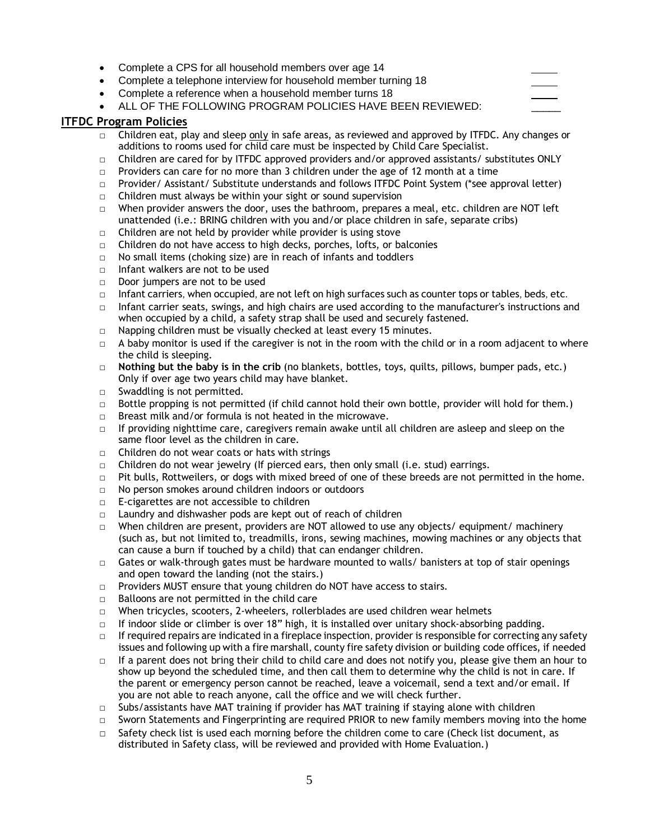- · Complete a CPS for all household members over age 14 · Complete a telephone interview for household member turning 18
- · Complete a reference when a household member turns 18
- ALL OF THE FOLLOWING PROGRAM POLICIES HAVE BEEN REVIEWED:

#### **ITFDC Program Policies**

- $\Box$  Children eat, play and sleep only in safe areas, as reviewed and approved by ITFDC. Any changes or additions to rooms used for child care must be inspected by Child Care Specialist.
- $\Box$  Children are cared for by ITFDC approved providers and/or approved assistants/ substitutes ONLY
- $\Box$  Providers can care for no more than 3 children under the age of 12 month at a time
- □ Provider/ Assistant/ Substitute understands and follows ITFDC Point System (\*see approval letter)
- $\Box$  Children must always be within your sight or sound supervision
- $\Box$  When provider answers the door, uses the bathroom, prepares a meal, etc. children are NOT left unattended (i.e.: BRING children with you and/or place children in safe, separate cribs)
- $\Box$  Children are not held by provider while provider is using stove
- □ Children do not have access to high decks, porches, lofts, or balconies
- □ No small items (choking size) are in reach of infants and toddlers
- $\nabla$  Infant walkers are not to be used
- □ Door jumpers are not to be used
- $\Box$  Infant carriers, when occupied, are not left on high surfaces such as counter tops or tables, beds, etc.
- $\Box$  Infant carrier seats, swings, and high chairs are used according to the manufacturer's instructions and when occupied by a child, a safety strap shall be used and securely fastened.
- □ Napping children must be visually checked at least every 15 minutes.
- $\Box$  A baby monitor is used if the caregiver is not in the room with the child or in a room adjacent to where the child is sleeping.
- □ **Nothing but the baby is in the crib** (no blankets, bottles, toys, quilts, pillows, bumper pads, etc.) Only if over age two years child may have blanket.
- □ Swaddling is not permitted.
- $\Box$  Bottle propping is not permitted (if child cannot hold their own bottle, provider will hold for them.)
- □ Breast milk and/or formula is not heated in the microwave.
- $\Box$  If providing nighttime care, caregivers remain awake until all children are asleep and sleep on the same floor level as the children in care.
- $\Box$  Children do not wear coats or hats with strings
- $\Box$  Children do not wear jewelry (If pierced ears, then only small (i.e. stud) earrings.
- $\Box$  Pit bulls, Rottweilers, or dogs with mixed breed of one of these breeds are not permitted in the home.
- □ No person smokes around children indoors or outdoors
- □ E-cigarettes are not accessible to children
- □ Laundry and dishwasher pods are kept out of reach of children
- $\Box$  When children are present, providers are NOT allowed to use any objects/ equipment/ machinery (such as, but not limited to, treadmills, irons, sewing machines, mowing machines or any objects that can cause a burn if touched by a child) that can endanger children.
- $\Box$  Gates or walk-through gates must be hardware mounted to walls/ banisters at top of stair openings and open toward the landing (not the stairs.)
- □ Providers MUST ensure that young children do NOT have access to stairs.
- □ Balloons are not permitted in the child care
- $\Box$  When tricycles, scooters, 2-wheelers, rollerblades are used children wear helmets
- $\Box$  If indoor slide or climber is over 18" high, it is installed over unitary shock-absorbing padding.
- $\Box$  If required repairs are indicated in a fireplace inspection, provider is responsible for correcting any safety issues and following up with a fire marshall, county fire safety division or building code offices, if needed
- $\Box$  If a parent does not bring their child to child care and does not notify you, please give them an hour to show up beyond the scheduled time, and then call them to determine why the child is not in care. If the parent or emergency person cannot be reached, leave a voicemail, send a text and/or email. If you are not able to reach anyone, call the office and we will check further.
- $\Box$  Subs/assistants have MAT training if provider has MAT training if staying alone with children
- $\Box$  Sworn Statements and Fingerprinting are required PRIOR to new family members moving into the home
- $\Box$  Safety check list is used each morning before the children come to care (Check list document, as distributed in Safety class, will be reviewed and provided with Home Evaluation.)